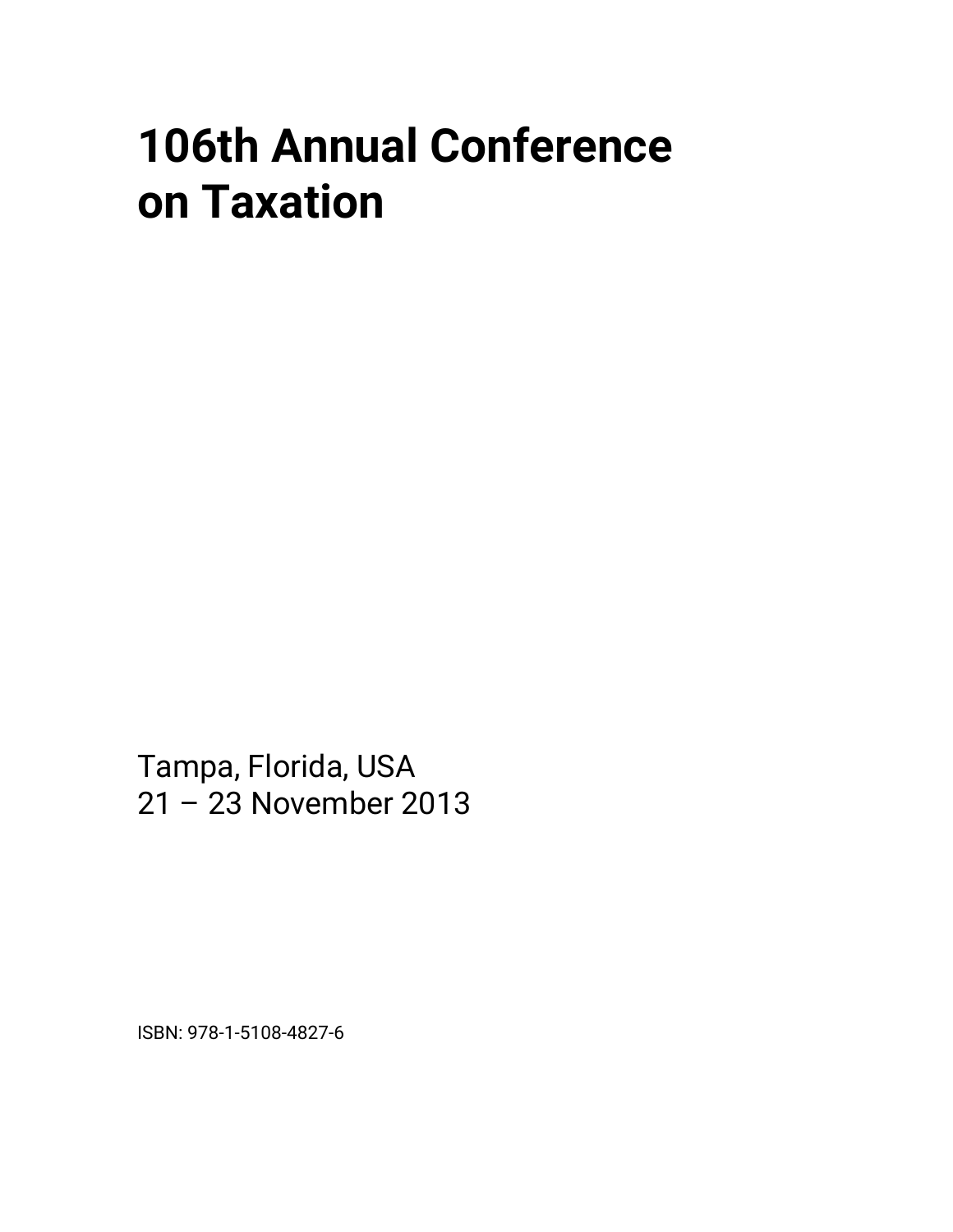## **106th Annual Conference on Taxation**

Tampa, Florida, USA 21 – 23 November 2013

ISBN: 978-1-5108-4827-6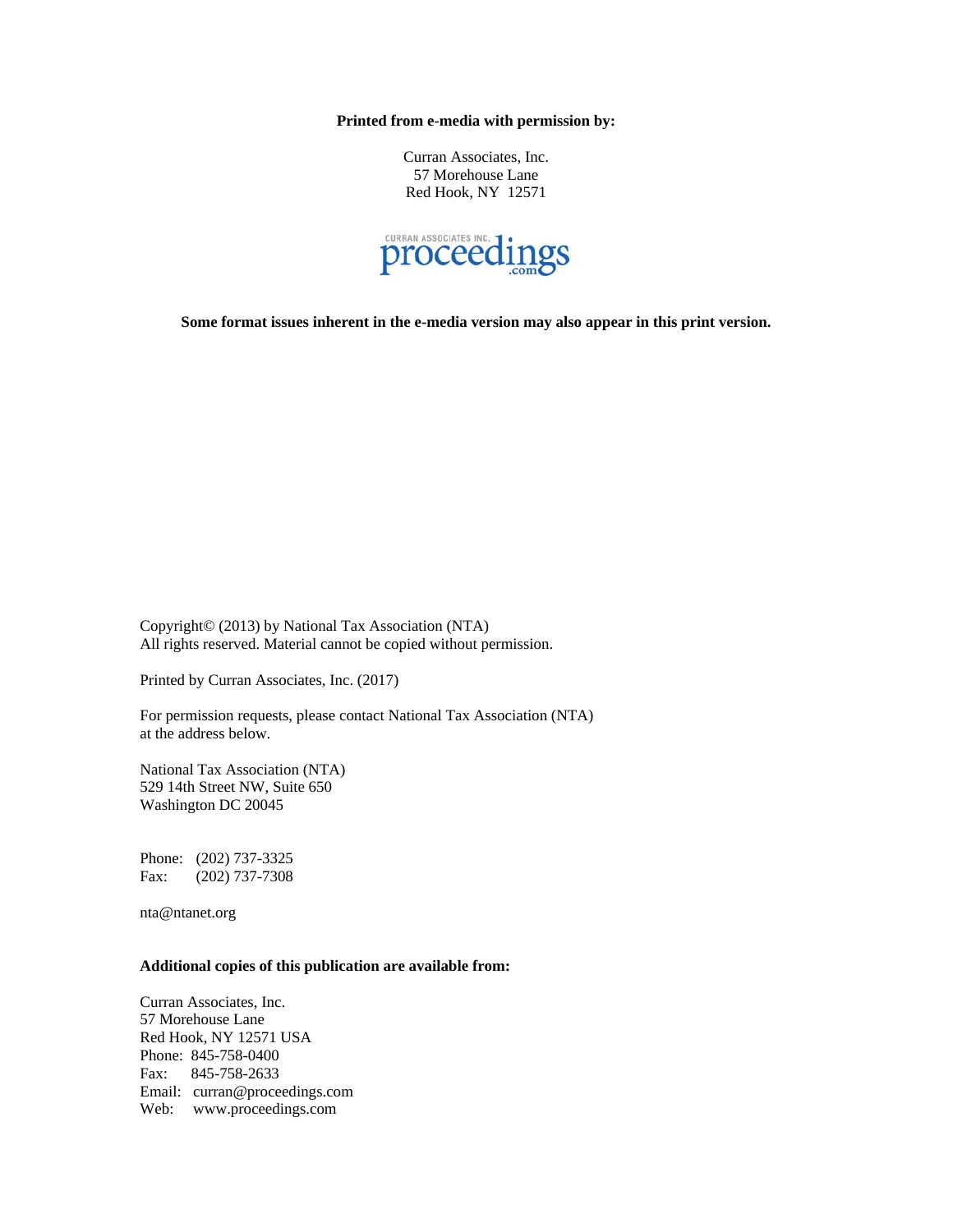**Printed from e-media with permission by:** 

Curran Associates, Inc. 57 Morehouse Lane Red Hook, NY 12571



**Some format issues inherent in the e-media version may also appear in this print version.** 

Copyright© (2013) by National Tax Association (NTA) All rights reserved. Material cannot be copied without permission.

Printed by Curran Associates, Inc. (2017)

For permission requests, please contact National Tax Association (NTA) at the address below.

National Tax Association (NTA) 529 14th Street NW, Suite 650 Washington DC 20045

Phone: (202) 737-3325 Fax: (202) 737-7308

nta@ntanet.org

## **Additional copies of this publication are available from:**

Curran Associates, Inc. 57 Morehouse Lane Red Hook, NY 12571 USA Phone: 845-758-0400 Fax: 845-758-2633 Email: curran@proceedings.com Web: www.proceedings.com